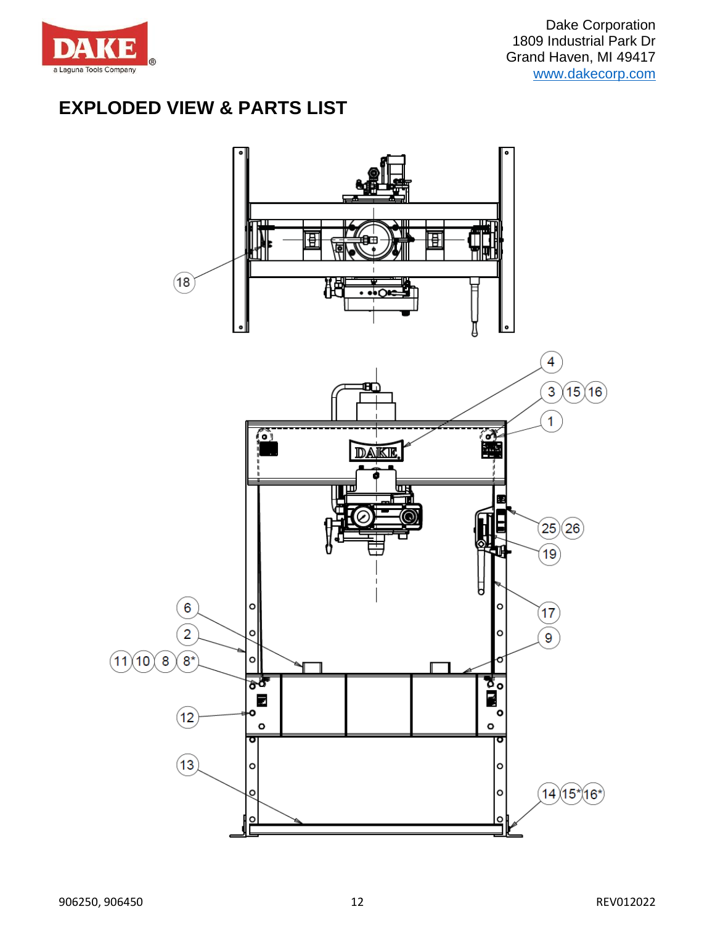

# **EXPLODED VIEW & PARTS LIST**

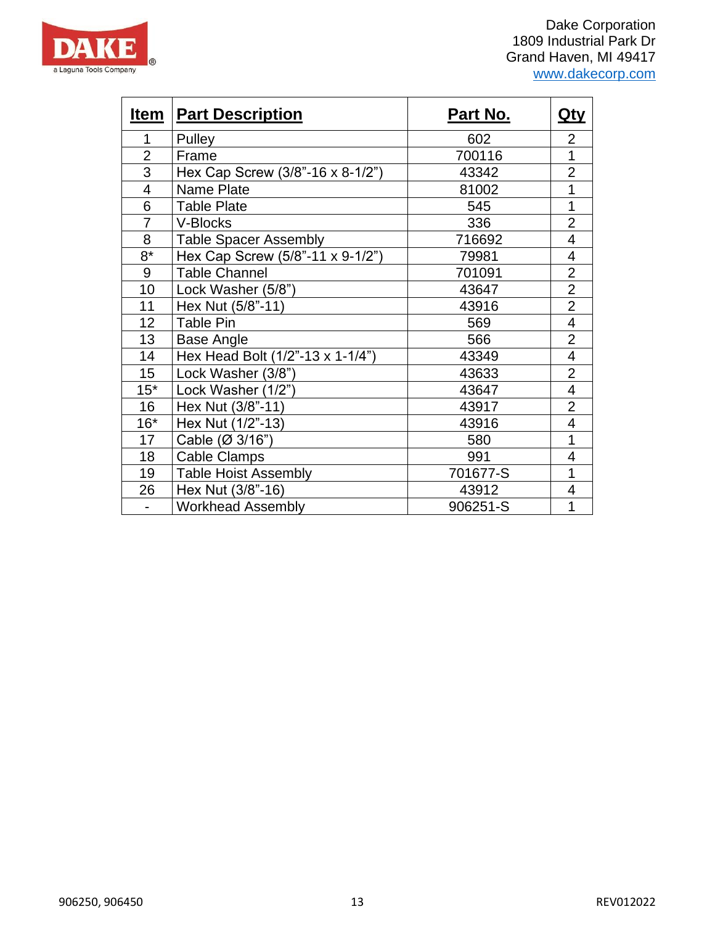

| <u>Item</u>    | <b>Part Description</b>          | <u>Part No.</u> | <u>Qty</u>     |
|----------------|----------------------------------|-----------------|----------------|
| 1              | Pulley                           | 602             | $\overline{2}$ |
| $\overline{2}$ | Frame                            | 700116          | 1              |
| $\overline{3}$ | Hex Cap Screw (3/8"-16 x 8-1/2") | 43342           | $\overline{2}$ |
| $\overline{4}$ | <b>Name Plate</b>                | 81002           | 1              |
| 6              | <b>Table Plate</b>               | 545             | 1              |
| $\overline{7}$ | V-Blocks                         | 336             | $\overline{2}$ |
| 8              | <b>Table Spacer Assembly</b>     | 716692          | 4              |
| $8*$           | Hex Cap Screw (5/8"-11 x 9-1/2") | 79981           | 4              |
| 9              | <b>Table Channel</b>             | 701091          | $\overline{2}$ |
| 10             | Lock Washer (5/8")               | 43647           | $\overline{2}$ |
| 11             | Hex Nut (5/8"-11)                | 43916           | $\overline{2}$ |
| 12             | Table Pin                        | 569             | 4              |
| 13             | Base Angle                       | 566             | $\overline{2}$ |
| 14             | Hex Head Bolt (1/2"-13 x 1-1/4") | 43349           | 4              |
| 15             | Lock Washer (3/8")               | 43633           | $\overline{2}$ |
| $15*$          | Lock Washer (1/2")               | 43647           | 4              |
| 16             | Hex Nut (3/8"-11)                | 43917           | $\overline{2}$ |
| $16*$          | Hex Nut (1/2"-13)                | 43916           | 4              |
| 17             | Cable (Ø 3/16")                  | 580             | 1              |
| 18             | <b>Cable Clamps</b>              | 991             | 4              |
| 19             | <b>Table Hoist Assembly</b>      | 701677-S        | 1              |
| 26             | Hex Nut (3/8"-16)                | 43912           | 4              |
| $\blacksquare$ | <b>Workhead Assembly</b>         | 906251-S        | 1              |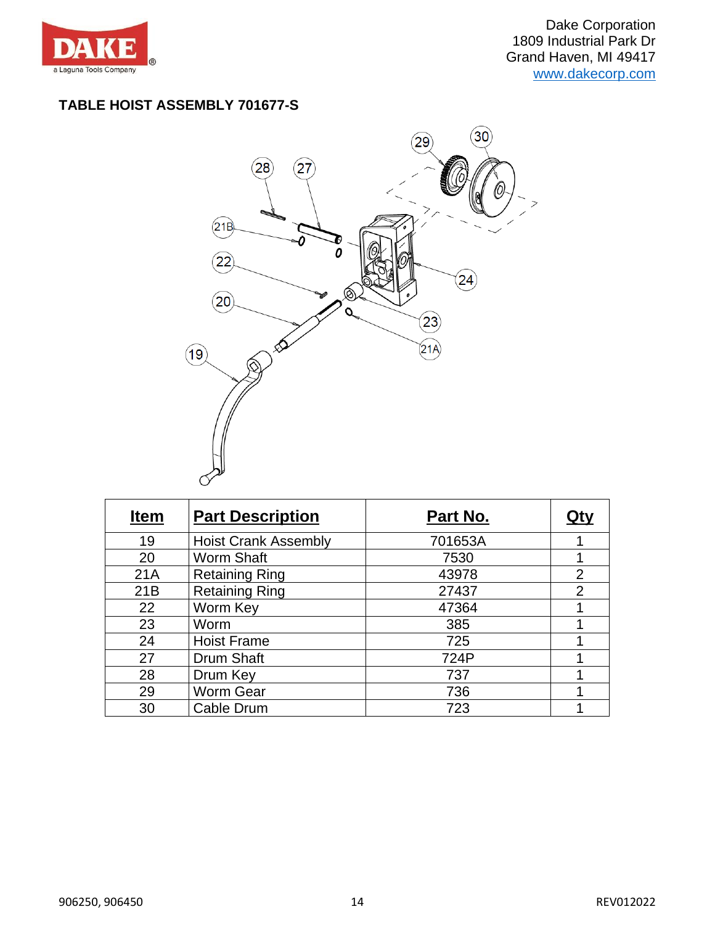

#### **TABLE HOIST ASSEMBLY 701677-S**



| <b>Item</b> | <b>Part Description</b>     | Part No. |                |
|-------------|-----------------------------|----------|----------------|
| 19          | <b>Hoist Crank Assembly</b> | 701653A  |                |
| 20          | <b>Worm Shaft</b>           | 7530     |                |
| 21A         | <b>Retaining Ring</b>       | 43978    | $\overline{2}$ |
| 21B         | <b>Retaining Ring</b>       | 27437    | $\overline{2}$ |
| 22          | Worm Key                    | 47364    |                |
| 23          | Worm                        | 385      |                |
| 24          | <b>Hoist Frame</b>          | 725      |                |
| 27          | Drum Shaft                  | 724P     |                |
| 28          | Drum Key                    | 737      |                |
| 29          | Worm Gear                   | 736      |                |
| 30          | Cable Drum                  | 723      |                |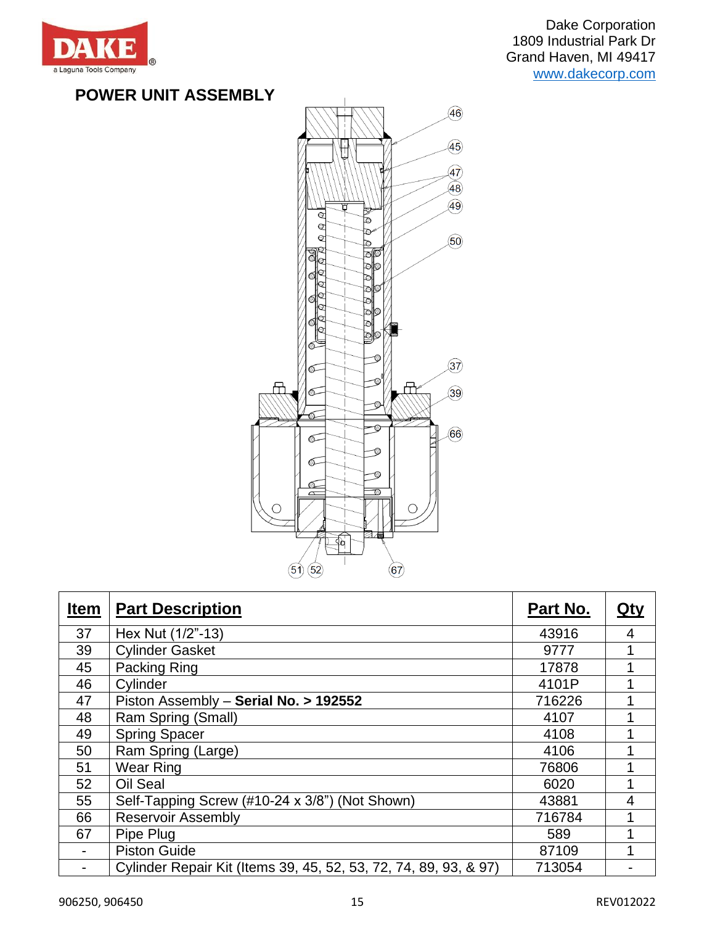

Dake Corporation 1809 Industrial Park Dr Grand Haven, MI 49417 [www.dakecorp.com](http://www.dakecorp.com/)

### **POWER UNIT ASSEMBLY**



| <b>Item</b> | <b>Part Description</b>                                          | Part No. | <u>Qty</u> |
|-------------|------------------------------------------------------------------|----------|------------|
| 37          | Hex Nut (1/2"-13)                                                | 43916    | 4          |
| 39          | <b>Cylinder Gasket</b>                                           | 9777     | 1          |
| 45          | Packing Ring                                                     | 17878    | 1          |
| 46          | Cylinder                                                         | 4101P    |            |
| 47          | Piston Assembly - Serial No. > 192552                            | 716226   |            |
| 48          | Ram Spring (Small)                                               | 4107     | 1          |
| 49          | <b>Spring Spacer</b>                                             | 4108     |            |
| 50          | Ram Spring (Large)                                               | 4106     | 1          |
| 51          | Wear Ring                                                        | 76806    |            |
| 52          | Oil Seal                                                         | 6020     | 1          |
| 55          | Self-Tapping Screw (#10-24 x 3/8") (Not Shown)                   | 43881    | 4          |
| 66          | <b>Reservoir Assembly</b>                                        | 716784   |            |
| 67          | Pipe Plug                                                        | 589      |            |
|             | <b>Piston Guide</b>                                              | 87109    |            |
| -           | Cylinder Repair Kit (Items 39, 45, 52, 53, 72, 74, 89, 93, & 97) | 713054   |            |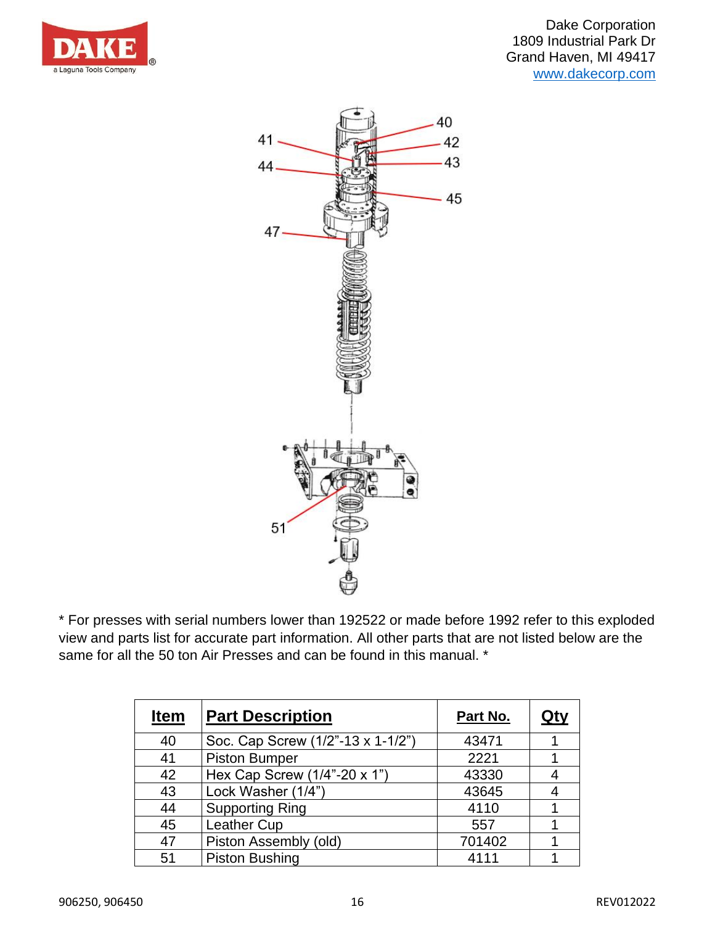



\* For presses with serial numbers lower than 192522 or made before 1992 refer to this exploded view and parts list for accurate part information. All other parts that are not listed below are the same for all the 50 ton Air Presses and can be found in this manual. \*

| <b>Item</b> | <b>Part Description</b>           | Part No. | Qt۱ |
|-------------|-----------------------------------|----------|-----|
| 40          | Soc. Cap Screw (1/2"-13 x 1-1/2") | 43471    |     |
| 41          | <b>Piston Bumper</b>              | 2221     |     |
| 42          | Hex Cap Screw (1/4"-20 x 1")      | 43330    |     |
| 43          | Lock Washer (1/4")                | 43645    |     |
| 44          | <b>Supporting Ring</b>            | 4110     |     |
| 45          | Leather Cup                       | 557      |     |
| 47          | Piston Assembly (old)             | 701402   |     |
| 51          | <b>Piston Bushing</b>             | 4111     |     |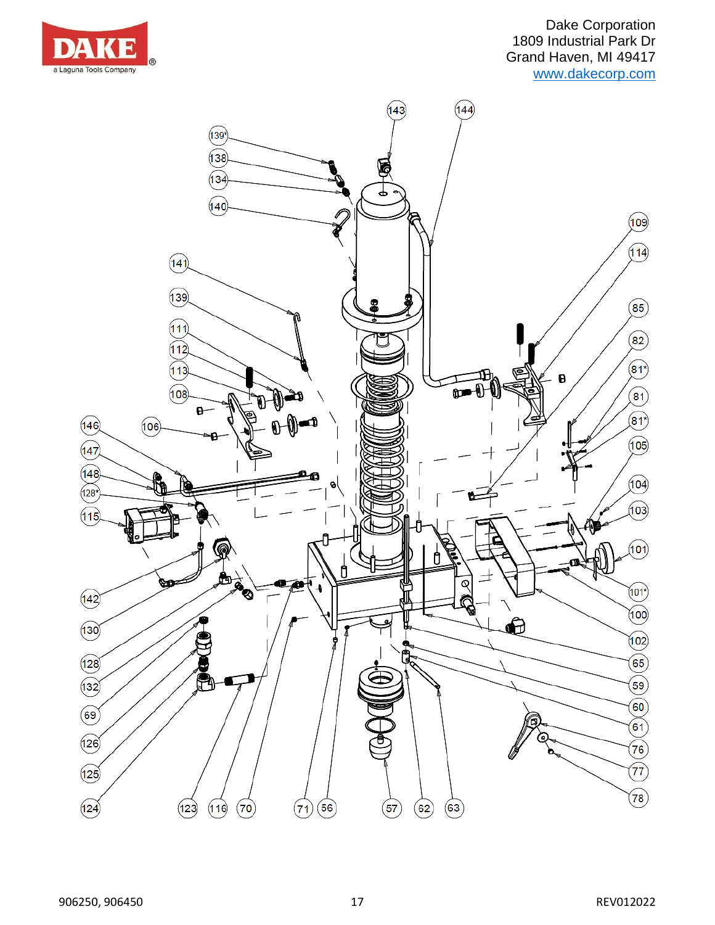

Dake Corporation 1809 Industrial Park Dr Grand Haven, MI 49417 [www.dakecorp.com](http://www.dakecorp.com/)

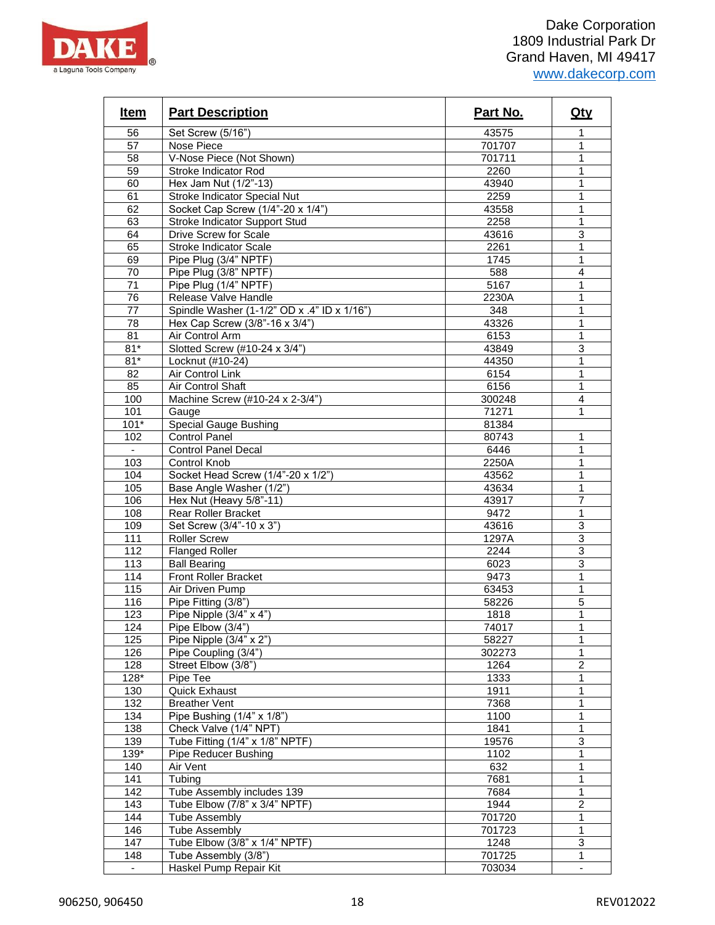

| Item             | <b>Part Description</b>                     | Part No. | <u>Qty</u>                       |
|------------------|---------------------------------------------|----------|----------------------------------|
| 56               | Set Screw (5/16")                           | 43575    |                                  |
| 57               | Nose Piece                                  | 701707   | 1                                |
| 58               | V-Nose Piece (Not Shown)                    | 701711   | $\mathbf{1}$                     |
| 59               | Stroke Indicator Rod                        | 2260     | $\mathbf{1}$                     |
| 60               | Hex Jam Nut (1/2"-13)                       | 43940    | 1                                |
| 61               | Stroke Indicator Special Nut                | 2259     | 1                                |
| 62               | Socket Cap Screw (1/4"-20 x 1/4")           | 43558    | $\mathbf{1}$                     |
| 63               | <b>Stroke Indicator Support Stud</b>        | 2258     | $\mathbf{1}$                     |
| 64               | Drive Screw for Scale                       | 43616    | 3                                |
| 65               | <b>Stroke Indicator Scale</b>               | 2261     | 1                                |
| 69               | Pipe Plug (3/4" NPTF)                       | 1745     | 1                                |
| 70               | Pipe Plug (3/8" NPTF)                       | 588      | $\overline{\mathbf{4}}$          |
| 71               | Pipe Plug (1/4" NPTF)                       | 5167     | $\mathbf{1}$                     |
| 76               | Release Valve Handle                        | 2230A    | $\mathbf{1}$                     |
| 77               | Spindle Washer (1-1/2" OD x .4" ID x 1/16") | 348      | 1                                |
| 78               | Hex Cap Screw (3/8"-16 x 3/4")              | 43326    | $\mathbf{1}$                     |
| 81               | Air Control Arm                             | 6153     | $\mathbf{1}$                     |
| $81*$            | Slotted Screw (#10-24 x 3/4")               | 43849    | 3                                |
| $81*$            | Locknut (#10-24)                            | 44350    | $\mathbf{1}$                     |
| 82               | Air Control Link                            | 6154     | 1                                |
| 85               | <b>Air Control Shaft</b>                    | 6156     | $\mathbf{1}$                     |
| 100              | Machine Screw (#10-24 x 2-3/4")             | 300248   | $\overline{4}$                   |
| 101              |                                             | 71271    | 1                                |
| $101*$           | Gauge                                       | 81384    |                                  |
|                  | <b>Special Gauge Bushing</b>                |          |                                  |
| 102              | <b>Control Panel</b>                        | 80743    | 1                                |
| $\sim$           | Control Panel Decal                         | 6446     | 1<br>$\mathbf{1}$                |
| 103              | Control Knob                                | 2250A    |                                  |
| 104              | Socket Head Screw (1/4"-20 x 1/2")          | 43562    | 1                                |
| 105              | Base Angle Washer (1/2")                    | 43634    | $\mathbf{1}$<br>$\overline{7}$   |
| 106              | Hex Nut (Heavy 5/8"-11)                     | 43917    |                                  |
| 108              | Rear Roller Bracket                         | 9472     | 1                                |
| 109              | Set Screw (3/4"-10 x 3")                    | 43616    | $\overline{3}$                   |
| 111              | <b>Roller Screw</b>                         | 1297A    | $\overline{3}$<br>$\overline{3}$ |
| $\overline{112}$ | <b>Flanged Roller</b>                       | 2244     |                                  |
| 113              | <b>Ball Bearing</b>                         | 6023     | 3                                |
| 114              | <b>Front Roller Bracket</b>                 | 9473     | 1                                |
| 115              | Air Driven Pump                             | 63453    | 1                                |
| 116              | Pipe Fitting (3/8")                         | 58226    | $\overline{5}$                   |
| 123              | Pipe Nipple (3/4" x 4")                     | 1818     | $\mathbf{1}$                     |
| 124              | Pipe Elbow (3/4")                           | 74017    | 1                                |
| 125              | Pipe Nipple (3/4" x 2")                     | 58227    | 1                                |
| 126              | Pipe Coupling (3/4")                        | 302273   | 1                                |
| 128              | Street Elbow (3/8")                         | 1264     | $\overline{c}$                   |
| $128*$           | Pipe Tee                                    | 1333     | 1                                |
| 130              | <b>Quick Exhaust</b>                        | 1911     | $\mathbf{1}$                     |
| 132              | <b>Breather Vent</b>                        | 7368     | 1                                |
| 134              | Pipe Bushing (1/4" x 1/8")                  | 1100     | 1                                |
| 138              | Check Valve (1/4" NPT)                      | 1841     | $\mathbf{1}$                     |
| 139              | Tube Fitting (1/4" x 1/8" NPTF)             | 19576    | 3                                |
| $139*$           | Pipe Reducer Bushing                        | 1102     | $\mathbf{1}$                     |
| 140              | Air Vent                                    | 632      | $\mathbf{1}$                     |
| 141              | Tubing                                      | 7681     | 1                                |
| 142              | Tube Assembly includes 139                  | 7684     | 1                                |
| 143              | Tube Elbow $(7/8" \times 3/4"$ NPTF)        | 1944     | $\overline{c}$                   |
| 144              | Tube Assembly                               | 701720   | $\mathbf{1}$                     |
| 146              | <b>Tube Assembly</b>                        | 701723   | $\mathbf{1}$                     |
| 147              | Tube Elbow (3/8" x 1/4" NPTF)               | 1248     | 3                                |
| 148              | Tube Assembly (3/8")                        | 701725   | 1                                |
| $\blacksquare$   | Haskel Pump Repair Kit                      | 703034   | $\omega$                         |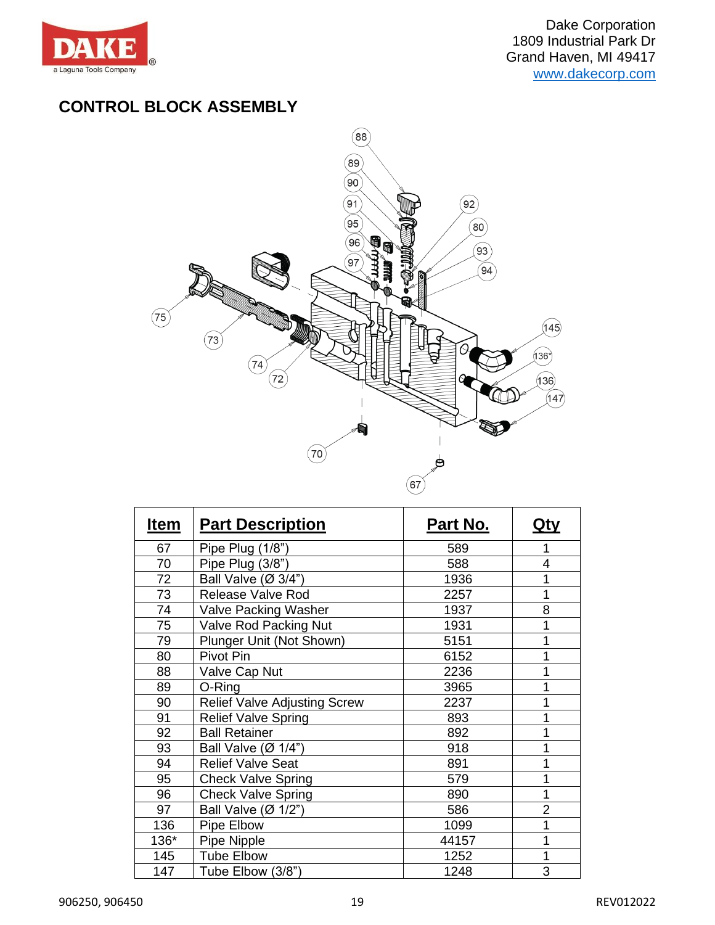

## **CONTROL BLOCK ASSEMBLY**



| Item | <b>Part Description</b>             | Part No. | Qty            |
|------|-------------------------------------|----------|----------------|
| 67   | Pipe Plug (1/8")                    | 589      | 1              |
| 70   | Pipe Plug (3/8")                    | 588      | 4              |
| 72   | Ball Valve (Ø 3/4")                 | 1936     | 1              |
| 73   | Release Valve Rod                   | 2257     | 1              |
| 74   | Valve Packing Washer                | 1937     | 8              |
| 75   | Valve Rod Packing Nut               | 1931     | 1              |
| 79   | Plunger Unit (Not Shown)            | 5151     | 1              |
| 80   | Pivot Pin                           | 6152     |                |
| 88   | Valve Cap Nut                       | 2236     |                |
| 89   | O-Ring                              | 3965     | 1              |
| 90   | <b>Relief Valve Adjusting Screw</b> | 2237     |                |
| 91   | <b>Relief Valve Spring</b>          | 893      | 1              |
| 92   | <b>Ball Retainer</b>                | 892      |                |
| 93   | Ball Valve $(\emptyset$ 1/4")       | 918      | 1              |
| 94   | <b>Relief Valve Seat</b>            | 891      | 1              |
| 95   | <b>Check Valve Spring</b>           | 579      |                |
| 96   | Check Valve Spring                  | 890      | 1              |
| 97   | Ball Valve $(\emptyset$ 1/2")       | 586      | $\overline{2}$ |
| 136  | Pipe Elbow                          | 1099     | 1              |
| 136* | Pipe Nipple                         | 44157    | 1              |
| 145  | <b>Tube Elbow</b>                   | 1252     | 1              |
| 147  | Tube Elbow (3/8")                   | 1248     | 3              |